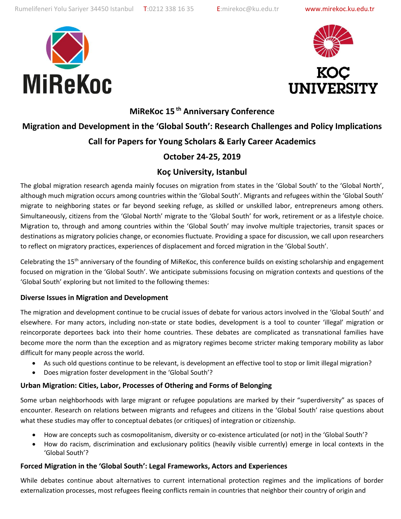





**MiReKoc 15 th Anniversary Conference**

# **Migration and Development in the 'Global South': Research Challenges and Policy Implications Call for Papers for Young Scholars & Early Career Academics**

# **October 24-25, 2019**

# **Koç University, Istanbul**

The global migration research agenda mainly focuses on migration from states in the 'Global South' to the 'Global North', although much migration occurs among countries within the 'Global South'. Migrants and refugees within the 'Global South' migrate to neighboring states or far beyond seeking refuge, as skilled or unskilled labor, entrepreneurs among others. Simultaneously, citizens from the 'Global North' migrate to the 'Global South' for work, retirement or as a lifestyle choice. Migration to, through and among countries within the 'Global South' may involve multiple trajectories, transit spaces or destinations as migratory policies change, or economies fluctuate. Providing a space for discussion, we call upon researchers to reflect on migratory practices, experiences of displacement and forced migration in the 'Global South'.

Celebrating the  $15<sup>th</sup>$  anniversary of the founding of MiReKoc, this conference builds on existing scholarship and engagement focused on migration in the 'Global South'. We anticipate submissions focusing on migration contexts and questions of the 'Global South' exploring but not limited to the following themes:

#### **Diverse Issues in Migration and Development**

The migration and development continue to be crucial issues of debate for various actors involved in the 'Global South' and elsewhere. For many actors, including non-state or state bodies, development is a tool to counter 'illegal' migration or reincorporate deportees back into their home countries. These debates are complicated as transnational families have become more the norm than the exception and as migratory regimes become stricter making temporary mobility as labor difficult for many people across the world.

- As such old questions continue to be relevant, is development an effective tool to stop or limit illegal migration?
- Does migration foster development in the 'Global South'?

# **Urban Migration: Cities, Labor, Processes of Othering and Forms of Belonging**

Some urban neighborhoods with large migrant or refugee populations are marked by their "superdiversity" as spaces of encounter. Research on relations between migrants and refugees and citizens in the 'Global South' raise questions about what these studies may offer to conceptual debates (or critiques) of integration or citizenship.

- How are concepts such as cosmopolitanism, diversity or co-existence articulated (or not) in the 'Global South'?
- How do racism, discrimination and exclusionary politics (heavily visible currently) emerge in local contexts in the 'Global South'?

# **Forced Migration in the 'Global South': Legal Frameworks, Actors and Experiences**

While debates continue about alternatives to current international protection regimes and the implications of border externalization processes, most refugees fleeing conflicts remain in countries that neighbor their country of origin and